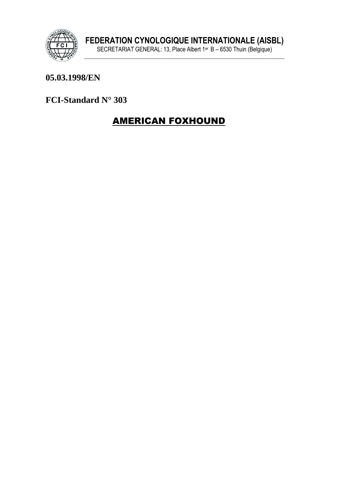

### 05.03.1998/EN

FCI-Standard N° 303

# **AMERICAN FOXHOUND**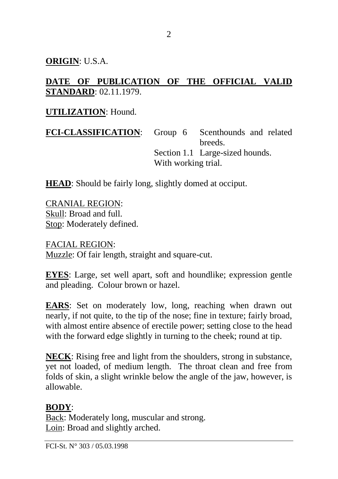**ORIGIN**: U.S.A.

### **DATE OF PUBLICATION OF THE OFFICIAL VALID STANDARD**: 02.11.1979.

#### **UTILIZATION**: Hound.

**FCI-CLASSIFICATION**: Group 6 Scenthounds and related breeds. Section 1.1 Large-sized hounds. With working trial.

**HEAD**: Should be fairly long, slightly domed at occiput.

CRANIAL REGION: Skull: Broad and full. Stop: Moderately defined.

FACIAL REGION: Muzzle: Of fair length, straight and square-cut.

**EYES**: Large, set well apart, soft and houndlike; expression gentle and pleading. Colour brown or hazel.

**EARS**: Set on moderately low, long, reaching when drawn out nearly, if not quite, to the tip of the nose; fine in texture; fairly broad, with almost entire absence of erectile power; setting close to the head with the forward edge slightly in turning to the cheek; round at tip.

**NECK**: Rising free and light from the shoulders, strong in substance, yet not loaded, of medium length. The throat clean and free from folds of skin, a slight wrinkle below the angle of the jaw, however, is allowable.

#### **BODY**:

Back: Moderately long, muscular and strong. Loin: Broad and slightly arched.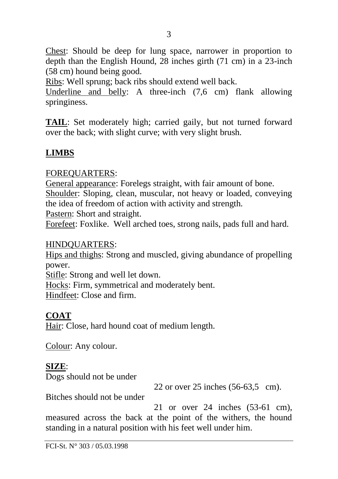Chest: Should be deep for lung space, narrower in proportion to depth than the English Hound, 28 inches girth (71 cm) in a 23-inch (58 cm) hound being good.

Ribs: Well sprung; back ribs should extend well back.

Underline and belly: A three-inch (7,6 cm) flank allowing springiness.

**TAIL**: Set moderately high; carried gaily, but not turned forward over the back; with slight curve; with very slight brush.

### **LIMBS**

#### FOREQUARTERS:

General appearance: Forelegs straight, with fair amount of bone. Shoulder: Sloping, clean, muscular, not heavy or loaded, conveying the idea of freedom of action with activity and strength.

Pastern: Short and straight.

Forefeet: Foxlike. Well arched toes, strong nails, pads full and hard.

#### HINDQUARTERS:

Hips and thighs: Strong and muscled, giving abundance of propelling power.

Stifle: Strong and well let down.

Hocks: Firm, symmetrical and moderately bent.

Hindfeet: Close and firm.

### **COAT**

Hair: Close, hard hound coat of medium length.

Colour: Any colour.

### **SIZE**:

Dogs should not be under

22 or over 25 inches (56-63,5 cm).

Bitches should not be under

21 or over 24 inches (53-61 cm), measured across the back at the point of the withers, the hound standing in a natural position with his feet well under him.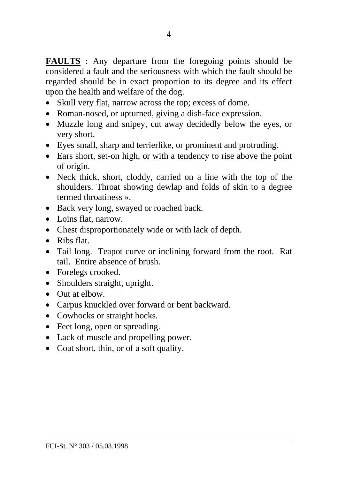**FAULTS** : Any departure from the foregoing points should be considered a fault and the seriousness with which the fault should be regarded should be in exact proportion to its degree and its effect upon the health and welfare of the dog.

- Skull very flat, narrow across the top; excess of dome.
- Roman-nosed, or upturned, giving a dish-face expression.
- Muzzle long and snipey, cut away decidedly below the eyes, or very short.
- Eyes small, sharp and terrierlike, or prominent and protruding.
- Ears short, set-on high, or with a tendency to rise above the point of origin.
- Neck thick, short, cloddy, carried on a line with the top of the shoulders. Throat showing dewlap and folds of skin to a degree termed throatiness ».
- Back very long, swayed or roached back.
- Loins flat, narrow.
- Chest disproportionately wide or with lack of depth.
- Ribs flat.
- Tail long. Teapot curve or inclining forward from the root. Rat tail. Entire absence of brush.
- Forelegs crooked.
- Shoulders straight, upright.
- Out at elbow.
- Carpus knuckled over forward or bent backward.
- Cowhocks or straight hocks.
- Feet long, open or spreading.
- Lack of muscle and propelling power.
- Coat short, thin, or of a soft quality.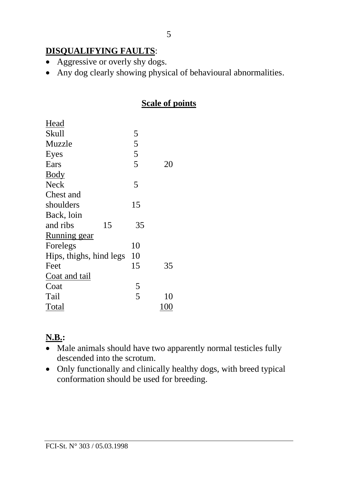## **DISQUALIFYING FAULTS**:

- Aggressive or overly shy dogs.
- Any dog clearly showing physical of behavioural abnormalities.

#### **Scale of points**

| Head                    |               |     |
|-------------------------|---------------|-----|
| <b>Skull</b>            | 5             |     |
| Muzzle                  |               |     |
| Eyes                    | $\frac{5}{5}$ |     |
| Ears                    |               | 20  |
| Body                    |               |     |
| Neck                    | 5             |     |
| Chest and               |               |     |
| shoulders               | 15            |     |
| Back, loin              |               |     |
| 15<br>and ribs          | 35            |     |
| <b>Running</b> gear     |               |     |
| Forelegs                | 10            |     |
| Hips, thighs, hind legs | 10            |     |
| Feet                    | 15            | 35  |
| Coat and tail           |               |     |
| Coat                    | 5             |     |
| Tail                    | 5             | 10  |
| Total                   |               | 100 |

# **N.B.:**

- Male animals should have two apparently normal testicles fully descended into the scrotum.
- Only functionally and clinically healthy dogs, with breed typical conformation should be used for breeding.